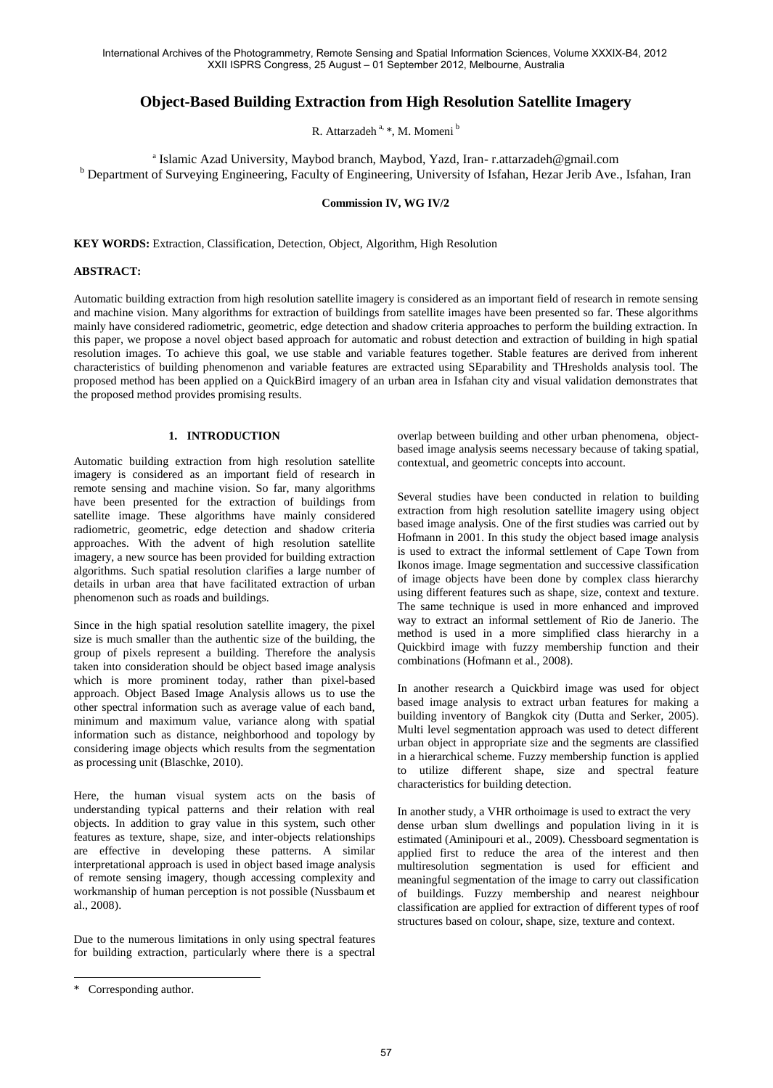# **Object-Based Building Extraction from High Resolution Satellite Imagery**

R. Attarzadeh  $a, *$ , M. Momeni $b$ 

a Islamic Azad University, Maybod branch, Maybod, Yazd, Iran- r.attarzadeh@gmail.com <sup>b</sup> Department of Surveying Engineering, Faculty of Engineering, University of Isfahan, Hezar Jerib Ave., Isfahan, Iran

### **Commission IV, WG IV/2**

**KEY WORDS:** Extraction, Classification, Detection, Object, Algorithm, High Resolution

#### **ABSTRACT:**

Automatic building extraction from high resolution satellite imagery is considered as an important field of research in remote sensing and machine vision. Many algorithms for extraction of buildings from satellite images have been presented so far. These algorithms mainly have considered radiometric, geometric, edge detection and shadow criteria approaches to perform the building extraction. In this paper, we propose a novel object based approach for automatic and robust detection and extraction of building in high spatial resolution images. To achieve this goal, we use stable and variable features together. Stable features are derived from inherent characteristics of building phenomenon and variable features are extracted using SEparability and THresholds analysis tool. The proposed method has been applied on a QuickBird imagery of an urban area in Isfahan city and visual validation demonstrates that the proposed method provides promising results.

### **1. INTRODUCTION**

Automatic building extraction from high resolution satellite imagery is considered as an important field of research in remote sensing and machine vision. So far, many algorithms have been presented for the extraction of buildings from satellite image. These algorithms have mainly considered radiometric, geometric, edge detection and shadow criteria approaches. With the advent of high resolution satellite imagery, a new source has been provided for building extraction algorithms. Such spatial resolution clarifies a large number of details in urban area that have facilitated extraction of urban phenomenon such as roads and buildings.

Since in the high spatial resolution satellite imagery, the pixel size is much smaller than the authentic size of the building, the group of pixels represent a building. Therefore the analysis taken into consideration should be object based image analysis which is more prominent today, rather than pixel-based approach. Object Based Image Analysis allows us to use the other spectral information such as average value of each band, minimum and maximum value, variance along with spatial information such as distance, neighborhood and topology by considering image objects which results from the segmentation as processing unit (Blaschke, 2010).

Here, the human visual system acts on the basis of understanding typical patterns and their relation with real objects. In addition to gray value in this system, such other features as texture, shape, size, and inter-objects relationships are effective in developing these patterns. A similar interpretational approach is used in object based image analysis of remote sensing imagery, though accessing complexity and workmanship of human perception is not possible (Nussbaum et al., 2008).

Due to the numerous limitations in only using spectral features for building extraction, particularly where there is a spectral Several studies have been conducted in relation to building extraction from high resolution satellite imagery using object based image analysis. One of the first studies was carried out by Hofmann in 2001. In this study the object based image analysis is used to extract the informal settlement of Cape Town from Ikonos image. Image segmentation and successive classification of image objects have been done by complex class hierarchy using different features such as shape, size, context and texture. The same technique is used in more enhanced and improved way to extract an informal settlement of Rio de Janerio. The method is used in a more simplified class hierarchy in a Quickbird image with fuzzy membership function and their combinations (Hofmann et al., 2008).

In another research a Quickbird image was used for object based image analysis to extract urban features for making a building inventory of Bangkok city (Dutta and Serker, 2005). Multi level segmentation approach was used to detect different urban object in appropriate size and the segments are classified in a hierarchical scheme. Fuzzy membership function is applied to utilize different shape, size and spectral feature characteristics for building detection.

In another study, a VHR orthoimage is used to extract the very dense urban slum dwellings and population living in it is estimated (Aminipouri et al., 2009). Chessboard segmentation is applied first to reduce the area of the interest and then multiresolution segmentation is used for efficient and meaningful segmentation of the image to carry out classification of buildings. Fuzzy membership and nearest neighbour classification are applied for extraction of different types of roof structures based on colour, shape, size, texture and context.

 $\overline{a}$ 

overlap between building and other urban phenomena, objectbased image analysis seems necessary because of taking spatial, contextual, and geometric concepts into account.

<sup>\*</sup> Corresponding author.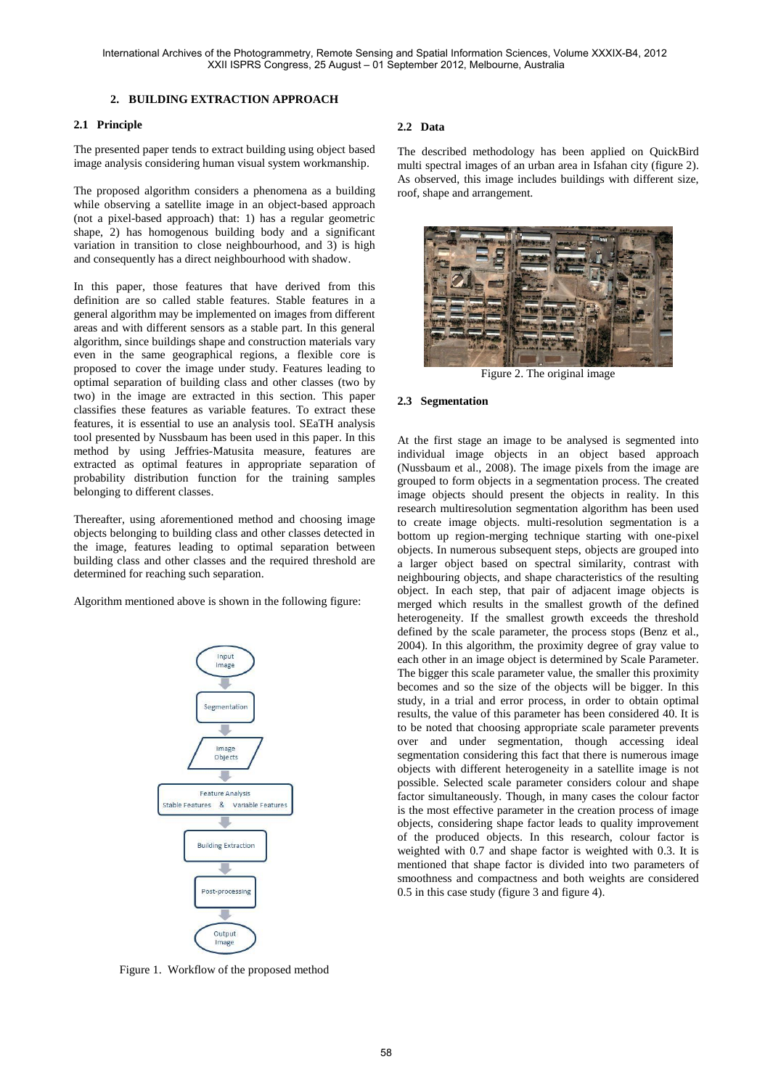### **2. BUILDING EXTRACTION APPROACH**

### **2.1 Principle**

The presented paper tends to extract building using object based image analysis considering human visual system workmanship.

The proposed algorithm considers a phenomena as a building while observing a satellite image in an object-based approach (not a pixel-based approach) that: 1) has a regular geometric shape, 2) has homogenous building body and a significant variation in transition to close neighbourhood, and 3) is high and consequently has a direct neighbourhood with shadow.

In this paper, those features that have derived from this definition are so called stable features. Stable features in a general algorithm may be implemented on images from different areas and with different sensors as a stable part. In this general algorithm, since buildings shape and construction materials vary even in the same geographical regions, a flexible core is proposed to cover the image under study. Features leading to optimal separation of building class and other classes (two by two) in the image are extracted in this section. This paper classifies these features as variable features. To extract these features, it is essential to use an analysis tool. SEaTH analysis tool presented by Nussbaum has been used in this paper. In this method by using Jeffries-Matusita measure, features are extracted as optimal features in appropriate separation of probability distribution function for the training samples belonging to different classes.

Thereafter, using aforementioned method and choosing image objects belonging to building class and other classes detected in the image, features leading to optimal separation between building class and other classes and the required threshold are determined for reaching such separation.

Algorithm mentioned above is shown in the following figure:



#### **2.2 Data**

The described methodology has been applied on QuickBird multi spectral images of an urban area in Isfahan city (figure 2). As observed, this image includes buildings with different size, roof, shape and arrangement.



Figure 2. The original image

#### **2.3 Segmentation**

At the first stage an image to be analysed is segmented into individual image objects in an object based approach (Nussbaum et al., 2008). The image pixels from the image are grouped to form objects in a segmentation process. The created image objects should present the objects in reality. In this research multiresolution segmentation algorithm has been used to create image objects. multi-resolution segmentation is a bottom up region-merging technique starting with one-pixel objects. In numerous subsequent steps, objects are grouped into a larger object based on spectral similarity, contrast with neighbouring objects, and shape characteristics of the resulting object. In each step, that pair of adjacent image objects is merged which results in the smallest growth of the defined heterogeneity. If the smallest growth exceeds the threshold defined by the scale parameter, the process stops (Benz et al., 2004). In this algorithm, the proximity degree of gray value to each other in an image object is determined by Scale Parameter. The bigger this scale parameter value, the smaller this proximity becomes and so the size of the objects will be bigger. In this study, in a trial and error process, in order to obtain optimal results, the value of this parameter has been considered 40. It is to be noted that choosing appropriate scale parameter prevents over and under segmentation, though accessing ideal segmentation considering this fact that there is numerous image objects with different heterogeneity in a satellite image is not possible. Selected scale parameter considers colour and shape factor simultaneously. Though, in many cases the colour factor is the most effective parameter in the creation process of image objects, considering shape factor leads to quality improvement of the produced objects. In this research, colour factor is weighted with 0.7 and shape factor is weighted with 0.3. It is mentioned that shape factor is divided into two parameters of smoothness and compactness and both weights are considered 0.5 in this case study (figure 3 and figure 4).

Figure 1. Workflow of the proposed method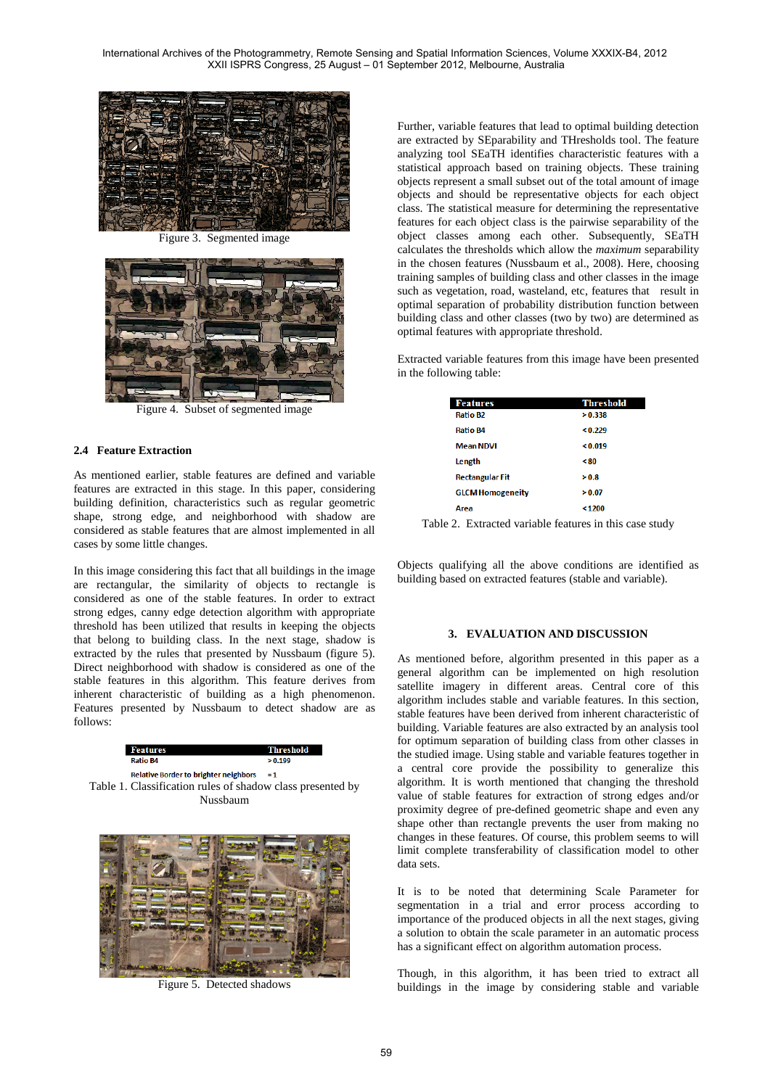

Figure 3. Segmented image



Figure 4. Subset of segmented image

# **2.4 Feature Extraction**

As mentioned earlier, stable features are defined and variable features are extracted in this stage. In this paper, considering building definition, characteristics such as regular geometric shape, strong edge, and neighborhood with shadow are considered as stable features that are almost implemented in all cases by some little changes.

In this image considering this fact that all buildings in the image are rectangular, the similarity of objects to rectangle is considered as one of the stable features. In order to extract strong edges, canny edge detection algorithm with appropriate threshold has been utilized that results in keeping the objects that belong to building class. In the next stage, shadow is extracted by the rules that presented by Nussbaum (figure 5). Direct neighborhood with shadow is considered as one of the stable features in this algorithm. This feature derives from inherent characteristic of building as a high phenomenon. Features presented by Nussbaum to detect shadow are as follows:

**Features Threshold Ratio R4**  $> 0.199$ Relative Border to brighter neighbors  $=1$ Table 1. Classification rules of shadow class presented by Nussbaum



Figure 5. Detected shadows

Further, variable features that lead to optimal building detection are extracted by SEparability and THresholds tool. The feature analyzing tool SEaTH identifies characteristic features with a statistical approach based on training objects. These training objects represent a small subset out of the total amount of image objects and should be representative objects for each object class. The statistical measure for determining the representative features for each object class is the pairwise separability of the object classes among each other. Subsequently, SEaTH calculates the thresholds which allow the *maximum* separability in the chosen features (Nussbaum et al., 2008). Here, choosing training samples of building class and other classes in the image such as vegetation, road, wasteland, etc, features that result in optimal separation of probability distribution function between building class and other classes (two by two) are determined as optimal features with appropriate threshold.

Extracted variable features from this image have been presented in the following table:

| <b>Features</b>         | <b>Threshold</b> |
|-------------------------|------------------|
| Ratio B2                | > 0.338          |
| <b>Ratio B4</b>         | < 0.229          |
| <b>Mean NDVI</b>        | < 0.019          |
| Length                  | &80              |
| <b>Rectangular Fit</b>  | > 0.8            |
| <b>GLCM Homogeneity</b> | > 0.07           |
| Area                    | 1200             |

Table 2. Extracted variable features in this case study

Objects qualifying all the above conditions are identified as building based on extracted features (stable and variable).

#### **3. EVALUATION AND DISCUSSION**

As mentioned before, algorithm presented in this paper as a general algorithm can be implemented on high resolution satellite imagery in different areas. Central core of this algorithm includes stable and variable features. In this section, stable features have been derived from inherent characteristic of building. Variable features are also extracted by an analysis tool for optimum separation of building class from other classes in the studied image. Using stable and variable features together in a central core provide the possibility to generalize this algorithm. It is worth mentioned that changing the threshold value of stable features for extraction of strong edges and/or proximity degree of pre-defined geometric shape and even any shape other than rectangle prevents the user from making no changes in these features. Of course, this problem seems to will limit complete transferability of classification model to other data sets.

It is to be noted that determining Scale Parameter for segmentation in a trial and error process according to importance of the produced objects in all the next stages, giving a solution to obtain the scale parameter in an automatic process has a significant effect on algorithm automation process.

Though, in this algorithm, it has been tried to extract all buildings in the image by considering stable and variable